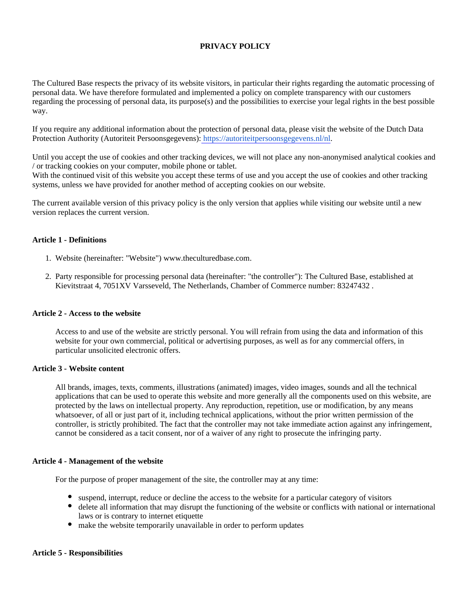# **PRIVACY POLICY**

The Cultured Base respects the privacy of its website visitors, in particular their rights regarding the automatic processing of personal data. We have therefore formulated and implemented a policy on complete transparency with our customers regarding the processing of personal data, its purpose(s) and the possibilities to exercise your legal rights in the best possible way.

If you require any additional information about the protection of personal data, please visit the website of the Dutch Data Protection Authority (Autoriteit Persoonsgegevens): [https://autoriteitpersoonsgegevens.nl/nl.](https://autoriteitpersoonsgegevens.nl/nl)

Until you accept the use of cookies and other tracking devices, we will not place any non-anonymised analytical cookies and / or tracking cookies on your computer, mobile phone or tablet.

With the continued visit of this website you accept these terms of use and you accept the use of cookies and other tracking systems, unless we have provided for another method of accepting cookies on our website.

The current available version of this privacy policy is the only version that applies while visiting our website until a new version replaces the current version.

#### **Article 1 - Definitions**

- 1. Website (hereinafter: "Website") www.theculturedbase.com.
- 2. Party responsible for processing personal data (hereinafter: "the controller"): The Cultured Base, established at Kievitstraat 4, 7051XV Varsseveld, The Netherlands, Chamber of Commerce number: 83247432 .

#### **Article 2 - Access to the website**

Access to and use of the website are strictly personal. You will refrain from using the data and information of this website for your own commercial, political or advertising purposes, as well as for any commercial offers, in particular unsolicited electronic offers.

### **Article 3 - Website content**

All brands, images, texts, comments, illustrations (animated) images, video images, sounds and all the technical applications that can be used to operate this website and more generally all the components used on this website, are protected by the laws on intellectual property. Any reproduction, repetition, use or modification, by any means whatsoever, of all or just part of it, including technical applications, without the prior written permission of the controller, is strictly prohibited. The fact that the controller may not take immediate action against any infringement, cannot be considered as a tacit consent, nor of a waiver of any right to prosecute the infringing party.

#### **Article 4 - Management of the website**

For the purpose of proper management of the site, the controller may at any time:

- suspend, interrupt, reduce or decline the access to the website for a particular category of visitors
- delete all information that may disrupt the functioning of the website or conflicts with national or international laws or is contrary to internet etiquette
- make the website temporarily unavailable in order to perform updates

#### **Article 5 - Responsibilities**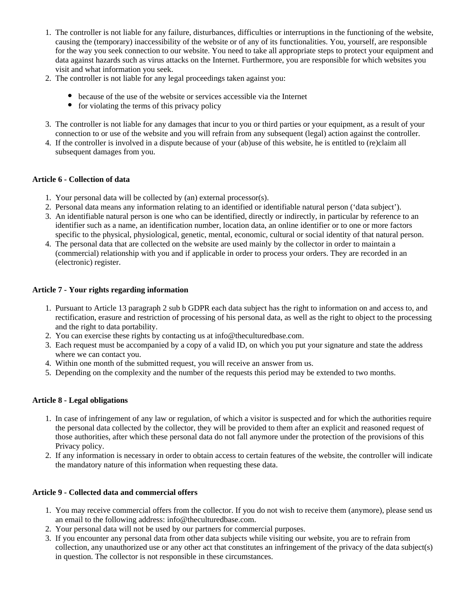- 1. The controller is not liable for any failure, disturbances, difficulties or interruptions in the functioning of the website, causing the (temporary) inaccessibility of the website or of any of its functionalities. You, yourself, are responsible for the way you seek connection to our website. You need to take all appropriate steps to protect your equipment and data against hazards such as virus attacks on the Internet. Furthermore, you are responsible for which websites you visit and what information you seek.
- 2. The controller is not liable for any legal proceedings taken against you:
	- because of the use of the website or services accessible via the Internet
	- $\bullet$  for violating the terms of this privacy policy
- 3. The controller is not liable for any damages that incur to you or third parties or your equipment, as a result of your connection to or use of the website and you will refrain from any subsequent (legal) action against the controller.
- 4. If the controller is involved in a dispute because of your (ab)use of this website, he is entitled to (re)claim all subsequent damages from you.

# **Article 6 - Collection of data**

- 1. Your personal data will be collected by (an) external processor(s).
- 2. Personal data means any information relating to an identified or identifiable natural person ('data subject').
- 3. An identifiable natural person is one who can be identified, directly or indirectly, in particular by reference to an identifier such as a name, an identification number, location data, an online identifier or to one or more factors specific to the physical, physiological, genetic, mental, economic, cultural or social identity of that natural person.
- 4. The personal data that are collected on the website are used mainly by the collector in order to maintain a (commercial) relationship with you and if applicable in order to process your orders. They are recorded in an (electronic) register.

# **Article 7 - Your rights regarding information**

- 1. Pursuant to Article 13 paragraph 2 sub b GDPR each data subject has the right to information on and access to, and rectification, erasure and restriction of processing of his personal data, as well as the right to object to the processing and the right to data portability.
- 2. You can exercise these rights by contacting us at info@theculturedbase.com.
- 3. Each request must be accompanied by a copy of a valid ID, on which you put your signature and state the address where we can contact you.
- 4. Within one month of the submitted request, you will receive an answer from us.
- 5. Depending on the complexity and the number of the requests this period may be extended to two months.

## **Article 8 - Legal obligations**

- 1. In case of infringement of any law or regulation, of which a visitor is suspected and for which the authorities require the personal data collected by the collector, they will be provided to them after an explicit and reasoned request of those authorities, after which these personal data do not fall anymore under the protection of the provisions of this Privacy policy.
- 2. If any information is necessary in order to obtain access to certain features of the website, the controller will indicate the mandatory nature of this information when requesting these data.

## **Article 9 - Collected data and commercial offers**

- 1. You may receive commercial offers from the collector. If you do not wish to receive them (anymore), please send us an email to the following address: info@theculturedbase.com.
- 2. Your personal data will not be used by our partners for commercial purposes.
- 3. If you encounter any personal data from other data subjects while visiting our website, you are to refrain from collection, any unauthorized use or any other act that constitutes an infringement of the privacy of the data subject(s) in question. The collector is not responsible in these circumstances.